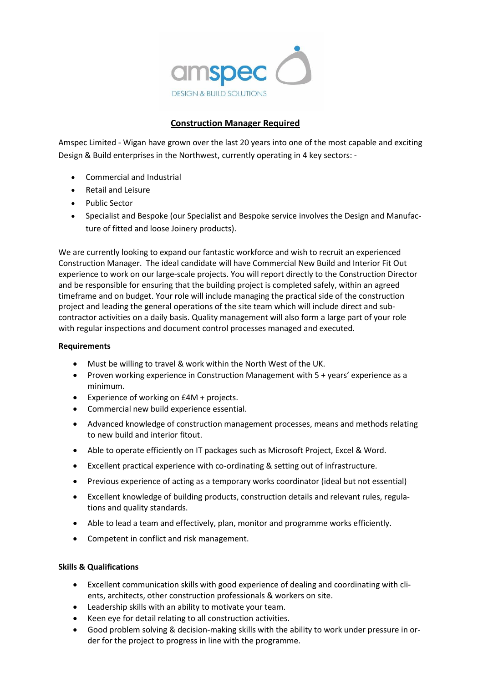

## **Construction Manager Required**

Amspec Limited - Wigan have grown over the last 20 years into one of the most capable and exciting Design & Build enterprises in the Northwest, currently operating in 4 key sectors: -

- Commercial and Industrial
- Retail and Leisure
- Public Sector
- Specialist and Bespoke (our Specialist and Bespoke service involves the Design and Manufacture of fitted and loose Joinery products).

We are currently looking to expand our fantastic workforce and wish to recruit an experienced Construction Manager. The ideal candidate will have Commercial New Build and Interior Fit Out experience to work on our large-scale projects. You will report directly to the Construction Director and be responsible for ensuring that the building project is completed safely, within an agreed timeframe and on budget. Your role will include managing the practical side of the construction project and leading the general operations of the site team which will include direct and subcontractor activities on a daily basis. Quality management will also form a large part of your role with regular inspections and document control processes managed and executed.

## **Requirements**

- Must be willing to travel & work within the North West of the UK.
- Proven working experience in Construction Management with 5 + years' experience as a minimum.
- Experience of working on £4M + projects.
- Commercial new build experience essential.
- Advanced knowledge of construction management processes, means and methods relating to new build and interior fitout.
- Able to operate efficiently on IT packages such as Microsoft Project, Excel & Word.
- Excellent practical experience with co-ordinating & setting out of infrastructure.
- Previous experience of acting as a temporary works coordinator (ideal but not essential)
- Excellent knowledge of building products, construction details and relevant rules, regulations and quality standards.
- Able to lead a team and effectively, plan, monitor and programme works efficiently.
- Competent in conflict and risk management.

## **Skills & Qualifications**

- Excellent communication skills with good experience of dealing and coordinating with clients, architects, other construction professionals & workers on site.
- Leadership skills with an ability to motivate your team.
- Keen eye for detail relating to all construction activities.
- Good problem solving & decision-making skills with the ability to work under pressure in order for the project to progress in line with the programme.